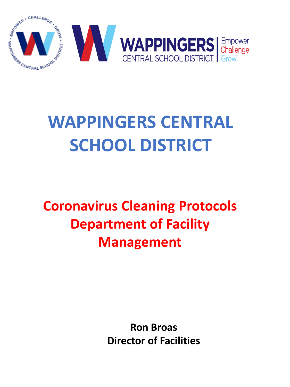

# **WAPPINGERS CENTRAL SCHOOL DISTRICT**

**Coronavirus Cleaning Protocols Department of Facility Management**

> **Ron Broas Director of Facilities**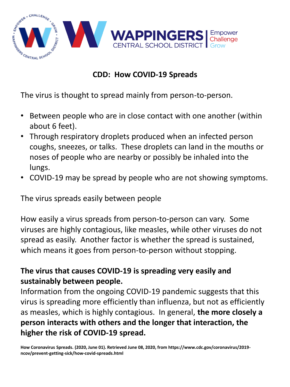

# **CDD: How COVID-19 Spreads**

The virus is thought to spread mainly from person-to-person.

- Between people who are in close contact with one another (within about 6 feet).
- Through respiratory droplets produced when an infected person coughs, sneezes, or talks. These droplets can land in the mouths or noses of people who are nearby or possibly be inhaled into the lungs.
- COVID-19 may be spread by people who are not showing symptoms.

The virus spreads easily between people

How easily a virus spreads from person-to-person can vary. Some viruses are highly contagious, like measles, while other viruses do not spread as easily. Another factor is whether the spread is sustained, which means it goes from person-to-person without stopping.

# **The virus that causes COVID-19 is spreading very easily and sustainably between people.**

Information from the ongoing COVID-19 pandemic suggests that this virus is spreading more efficiently than influenza, but not as efficiently as measles, which is highly contagious. In general, **the more closely a person interacts with others and the longer that interaction, the higher the risk of COVID-19 spread.**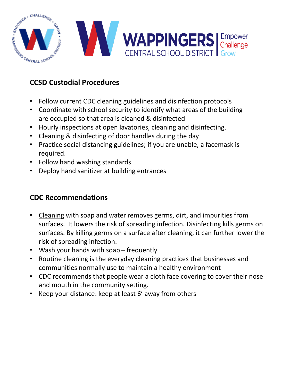

# **CCSD Custodial Procedures**

- Follow current CDC cleaning guidelines and disinfection protocols
- Coordinate with school security to identify what areas of the building are occupied so that area is cleaned & disinfected
- Hourly inspections at open lavatories, cleaning and disinfecting.
- Cleaning & disinfecting of door handles during the day
- Practice social distancing guidelines; if you are unable, a facemask is required.
- Follow hand washing standards
- Deploy hand sanitizer at building entrances

## **CDC Recommendations**

- Cleaning with soap and water removes germs, dirt, and impurities from surfaces. It lowers the risk of spreading infection. Disinfecting kills germs on surfaces. By killing germs on a surface after cleaning, it can further lower the risk of spreading infection.
- Wash your hands with soap frequently
- Routine cleaning is the everyday cleaning practices that businesses and communities normally use to maintain a healthy environment
- CDC recommends that people wear a cloth face covering to cover their nose and mouth in the community setting.
- Keep your distance: keep at least 6' away from others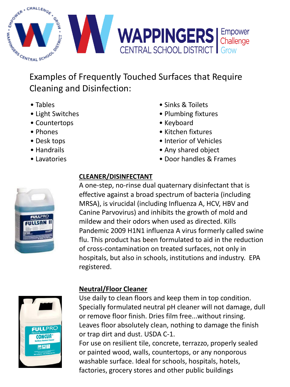

Examples of Frequently Touched Surfaces that Require Cleaning and Disinfection:

- Tables
- Light Switches
- Countertops
- Phones
- Desk tops
- Handrails
- Lavatories



# **CLEANER/DISINFECTANT**

A one-step, no-rinse dual quaternary disinfectant that is effective against a broad spectrum of bacteria (including MRSA), is virucidal (including Influenza A, HCV, HBV and Canine Parvovirus) and inhibits the growth of mold and mildew and their odors when used as directed. Kills Pandemic 2009 H1N1 influenza A virus formerly called swine flu. This product has been formulated to aid in the reduction of cross-contamination on treated surfaces, not only in hospitals, but also in schools, institutions and industry. EPA registered.

• Sinks & Toilets • Plumbing fixtures

• Kitchen fixtures • Interior of Vehicles • Any shared object

• Door handles & Frames

• Keyboard



# **Neutral/Floor Cleaner**

Use daily to clean floors and keep them in top condition. Specially formulated neutral pH cleaner will not damage, dull or remove floor finish. Dries film free...without rinsing. Leaves floor absolutely clean, nothing to damage the finish or trap dirt and dust. USDA C-1. For use on resilient tile, concrete, terrazzo, properly sealed or painted wood, walls, countertops, or any nonporous washable surface. Ideal for schools, hospitals, hotels,

factories, grocery stores and other public buildings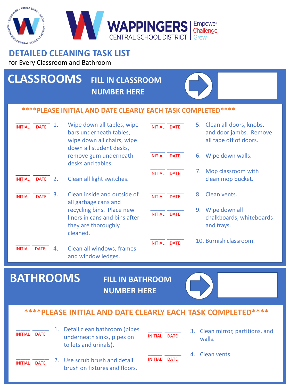#### WAPPINGERS Empower Challenge **RAL SCHOOL DISTRICT ENTRAL 5**

# **DETAILED CLEANING TASK LIST**

#### for Every Classroom and Bathroom

# **CLASSROOMS FILL IN CLASSROOM**

**NUMBER HERE** 



#### **\*\*\*\*PLEASE INITIAL AND DATE CLEARLY EACH TASK COMPLETED\*\*\*\***

| <b>INITIAL</b> | <b>DATE</b> | ı. | Wipe down all tables, wipe<br>bars underneath tables,<br>wipe down all chairs, wipe<br>down all student desks, | <b>INITIAL</b> | <b>DATE</b> |    | 5. Clean all doors, knobs,<br>and door jambs. Remove<br>all tape off of doors. |
|----------------|-------------|----|----------------------------------------------------------------------------------------------------------------|----------------|-------------|----|--------------------------------------------------------------------------------|
|                |             |    | remove gum underneath<br>desks and tables.                                                                     | INITIAL DATE   |             | 6. | Wipe down walls.                                                               |
| <b>INITIAL</b> | <b>DATE</b> | 2. | Clean all light switches.                                                                                      | <b>INITIAL</b> | <b>DATE</b> | 7. | Mop classroom with<br>clean mop bucket.                                        |
| <b>INITIAL</b> | <b>DATE</b> | 3. | Clean inside and outside of<br>all garbage cans and                                                            | <b>INITIAL</b> | <b>DATF</b> | 8. | Clean vents.                                                                   |
|                |             |    | recycling bins. Place new<br>liners in cans and bins after<br>they are thoroughly<br>cleaned.                  | <b>INITIAL</b> | <b>DATE</b> | 9. | Wipe down all<br>chalkboards, whiteboards<br>and trays.                        |
| <b>INITIAL</b> | <b>DATE</b> | 4. | Clean all windows, frames                                                                                      | <b>INITIAL</b> | <b>DATF</b> |    | 10. Burnish classroom.                                                         |
|                |             |    | and window ledges.                                                                                             |                |             |    |                                                                                |

# **BATHROOMS FILL IN BATHROOM**

**NUMBER HERE**



# **\*\*\*\*PLEASE INITIAL AND DATE CLEARLY EACH TASK COMPLETED\*\*\*\***

| <b>INITIAL</b><br><b>DATE</b> | 1. Detail clean bathroom (pipes<br>underneath sinks, pipes on<br>toilets and urinals). | INITIAL<br><b>DATE</b>        |  | 3. Clean mirror, partitions, and<br>walls. |
|-------------------------------|----------------------------------------------------------------------------------------|-------------------------------|--|--------------------------------------------|
| <b>DATE</b><br><b>INITIAL</b> | 2. Use scrub brush and detail<br>brush on fixtures and floors.                         | <b>INITIAL</b><br><b>DATE</b> |  | 4. Clean vents                             |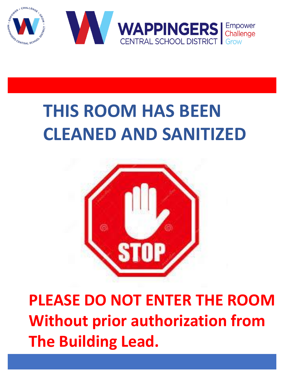

# **THIS ROOM HAS BEEN CLEANED AND SANITIZED**



**PLEASE DO NOT ENTER THE ROOM Without prior authorization from The Building Lead.**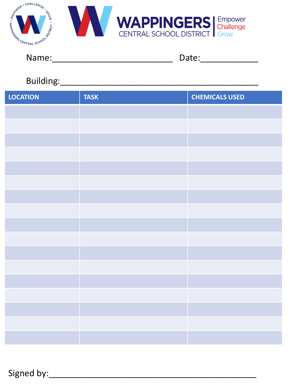

# 

Date:\_\_\_\_\_\_\_\_\_\_\_\_\_\_

# 

| <b>LOCATION</b> | <b>TASK</b> | <b>CHEMICALS USED</b> |
|-----------------|-------------|-----------------------|
|                 |             |                       |
|                 |             |                       |
|                 |             |                       |
|                 |             |                       |
|                 |             |                       |
|                 |             |                       |
|                 |             |                       |
|                 |             |                       |
|                 |             |                       |
|                 |             |                       |
|                 |             |                       |
|                 |             |                       |
|                 |             |                       |
|                 |             |                       |
|                 |             |                       |
|                 |             |                       |
|                 |             |                       |

Signed by: Signed by: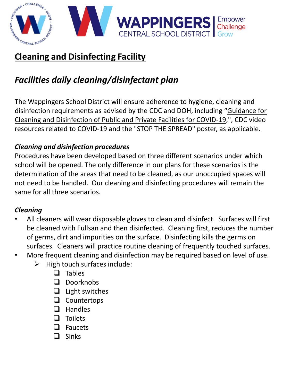

# **Cleaning and Disinfecting Facility**

# *Facilities daily cleaning/disinfectant plan*

The Wappingers School District will ensure adherence to hygiene, cleaning and disinfection requirements as advised by the CDC and DOH, including "Guidance for Cleaning and Disinfection of Public and Private Facilities for COVID-19,", CDC video resources related to COVID-19 and the "STOP THE SPREAD" poster, as applicable.

# *Cleaning and disinfection procedures*

Procedures have been developed based on three different scenarios under which school will be opened. The only difference in our plans for these scenarios is the determination of the areas that need to be cleaned, as our unoccupied spaces will not need to be handled. Our cleaning and disinfecting procedures will remain the same for all three scenarios.

# *Cleaning*

- All cleaners will wear disposable gloves to clean and disinfect. Surfaces will first be cleaned with Fullsan and then disinfected. Cleaning first, reduces the number of germs, dirt and impurities on the surface. Disinfecting kills the germs on surfaces. Cleaners will practice routine cleaning of frequently touched surfaces.
- More frequent cleaning and disinfection may be required based on level of use.
	- $\triangleright$  High touch surfaces include:
		- ❑ Tables
		- ❑ Doorknobs
		- ❑ Light switches
		- ❑ Countertops
		- ❑ Handles
		- ❑ Toilets
		- ❑ Faucets
		- ❑ Sinks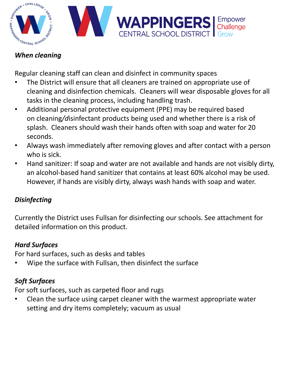

# *When cleaning*

Regular cleaning staff can clean and disinfect in community spaces

- The District will ensure that all cleaners are trained on appropriate use of cleaning and disinfection chemicals. Cleaners will wear disposable gloves for all tasks in the cleaning process, including handling trash.
- Additional personal protective equipment (PPE) may be required based on cleaning*/d*isinfectant products being used and whether there is a risk of splash. Cleaners should wash their hands often with soap and water for 20 seconds.
- Always wash immediately after removing gloves and after contact with a person who is sick.
- Hand sanitizer: If soap and water are not available and hands are not visibly dirty, an alcohol-based hand sanitizer that contains at least 60% alcohol may be used. However, if hands are visibly dirty, always wash hands with soap and water.

# *Disinfecting*

Currently the District uses Fullsan for disinfecting our schools. See attachment for detailed information on this product.

# *Hard Surfaces*

For hard surfaces, such as desks and tables

• Wipe the surface with Fullsan, then disinfect the surface

# *Soft Surfaces*

For soft surfaces, such as carpeted floor and rugs

• Clean the surface using carpet cleaner with the warmest appropriate water setting and dry items completely; vacuum as usual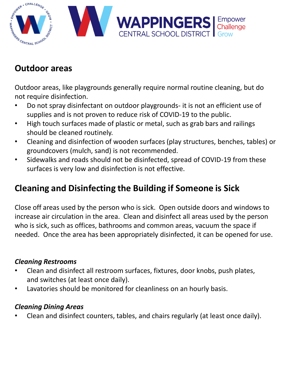

# **Outdoor areas**

Outdoor areas, like playgrounds generally require normal routine cleaning, but do not require disinfection.

- Do not spray disinfectant on outdoor playgrounds- it is not an efficient use of supplies and is not proven to reduce risk of COVID-19 to the public.
- High touch surfaces made of plastic or metal, such as grab bars and railings should be cleaned routinely.
- Cleaning and disinfection of wooden surfaces (play structures, benches, tables) or groundcovers (mulch, sand) is not recommended.
- Sidewalks and roads should not be disinfected, spread of COVID-19 from these surfaces is very low and disinfection is not effective.

# **Cleaning and Disinfecting the Building if Someone is Sick**

Close off areas used by the person who is sick. Open outside doors and windows to increase air circulation in the area. Clean and disinfect all areas used by the person who is sick, such as offices, bathrooms and common areas, vacuum the space if needed. Once the area has been appropriately disinfected, it can be opened for use.

## *Cleaning Restrooms*

- Clean and disinfect all restroom surfaces, fixtures, door knobs, push plates, and switches (at least once daily).
- Lavatories should be monitored for cleanliness on an hourly basis.

## *Cleaning Dining Areas*

• Clean and disinfect counters, tables, and chairs regularly (at least once daily).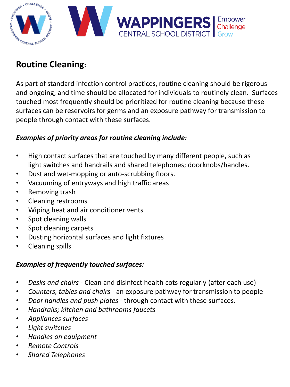

# **Routine Cleaning:**

As part of standard infection control practices, routine cleaning should be rigorous and ongoing, and time should be allocated for individuals to routinely clean. Surfaces touched most frequently should be prioritized for routine cleaning because these surfaces can be reservoirs for germs and an exposure pathway for transmission to people through contact with these surfaces.

## *Examples of priority areas for routine cleaning include:*

- High contact surfaces that are touched by many different people, such as light switches and handrails and shared telephones; doorknobs/handles.
- Dust and wet-mopping or auto-scrubbing floors.
- Vacuuming of entryways and high traffic areas
- Removing trash
- Cleaning restrooms
- Wiping heat and air conditioner vents
- Spot cleaning walls
- Spot cleaning carpets
- Dusting horizontal surfaces and light fixtures
- Cleaning spills

## *Examples of frequently touched surfaces:*

- *Desks and chairs*  Clean and disinfect health cots regularly (after each use)
- *Counters, tables and chairs*  an exposure pathway for transmission to people
- *Door handles and push plates*  through contact with these surfaces.
- *Handrails; kitchen and bathrooms faucets*
- *Appliances surfaces*
- *Light switches*
- *Handles on equipment*
- *Remote Controls*
- *Shared Telephones*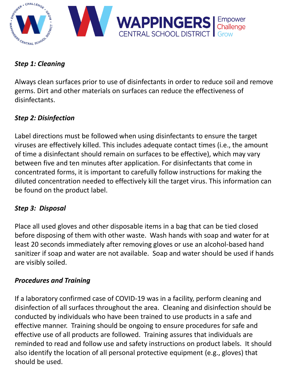

## *Step 1: Cleaning*

Always clean surfaces prior to use of disinfectants in order to reduce soil and remove germs. Dirt and other materials on surfaces can reduce the effectiveness of disinfectants.

# *Step 2: Disinfection*

Label directions must be followed when using disinfectants to ensure the target viruses are effectively killed. This includes adequate contact times (i.e., the amount of time a disinfectant should remain on surfaces to be effective), which may vary between five and ten minutes after application. For disinfectants that come in concentrated forms, it is important to carefully follow instructions for making the diluted concentration needed to effectively kill the target virus. This information can be found on the product label.

## *Step 3: Disposal*

Place all used gloves and other disposable items in a bag that can be tied closed before disposing of them with other waste. Wash hands with soap and water for at least 20 seconds immediately after removing gloves or use an alcohol-based hand sanitizer if soap and water are not available. Soap and water should be used if hands are visibly soiled.

# *Procedures and Training*

If a laboratory confirmed case of COVID-19 was in a facility, perform cleaning and disinfection of all surfaces throughout the area. Cleaning and disinfection should be conducted by individuals who have been trained to use products in a safe and effective manner. Training should be ongoing to ensure procedures for safe and effective use of all products are followed. Training assures that individuals are reminded to read and follow use and safety instructions on product labels. It should also identify the location of all personal protective equipment (e.g., gloves) that should be used.